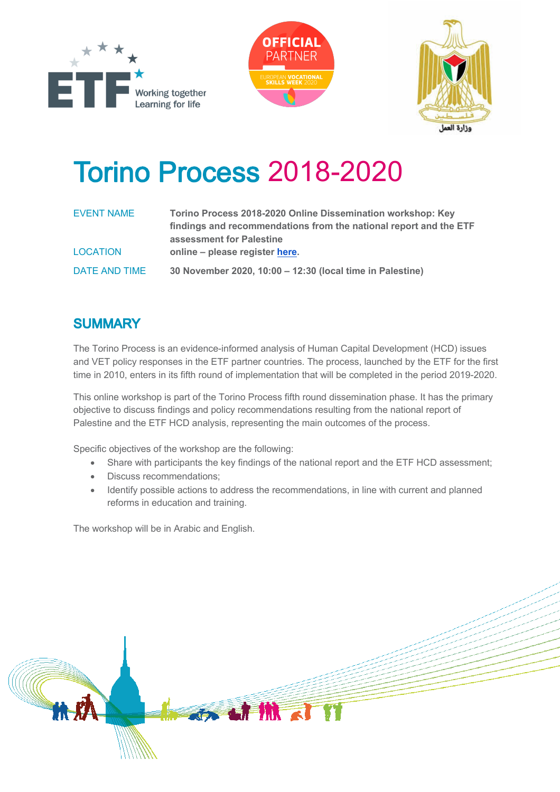





## **Torino Process 2018-2020**

| <b>EVENT NAME</b> | Torino Process 2018-2020 Online Dissemination workshop: Key<br>findings and recommendations from the national report and the ETF |
|-------------------|----------------------------------------------------------------------------------------------------------------------------------|
| <b>LOCATION</b>   | assessment for Palestine<br>online – please register here.                                                                       |
| DATE AND TIME     | 30 November 2020, 10:00 - 12:30 (local time in Palestine)                                                                        |

## **SUMMARY**

The Torino Process is an evidence-informed analysis of Human Capital Development (HCD) issues and VET policy responses in the ETF partner countries. The process, launched by the ETF for the first time in 2010, enters in its fifth round of implementation that will be completed in the period 2019-2020.

This online workshop is part of the Torino Process fifth round dissemination phase. It has the primary objective to discuss findings and policy recommendations resulting from the national report of Palestine and the ETF HCD analysis, representing the main outcomes of the process.

Specific objectives of the workshop are the following:

- Share with participants the key findings of the national report and the ETF HCD assessment;
- Discuss recommendations;
- Identify possible actions to address the recommendations, in line with current and planned reforms in education and training.

The workshop will be in Arabic and English.